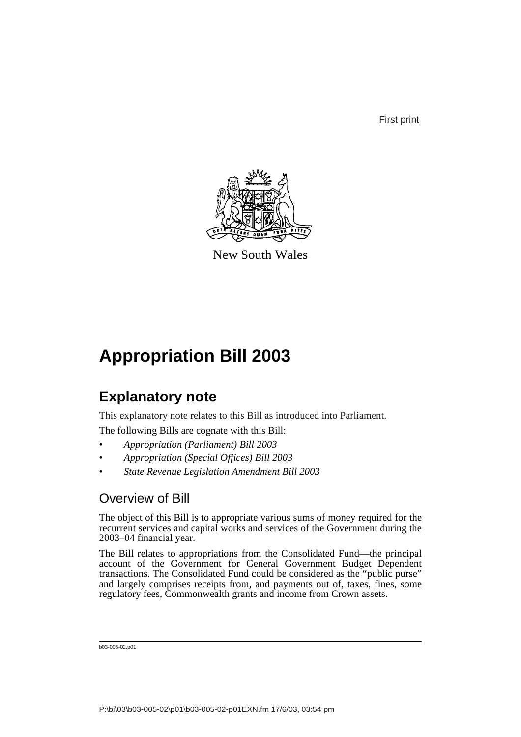First print



New South Wales

# **Appropriation Bill 2003**

## **Explanatory note**

This explanatory note relates to this Bill as introduced into Parliament.

The following Bills are cognate with this Bill:

- *Appropriation (Parliament) Bill 2003*
- *Appropriation (Special Offices) Bill 2003*
- *State Revenue Legislation Amendment Bill 2003*

## Overview of Bill

The object of this Bill is to appropriate various sums of money required for the recurrent services and capital works and services of the Government during the 2003–04 financial year.

The Bill relates to appropriations from the Consolidated Fund—the principal account of the Government for General Government Budget Dependent transactions. The Consolidated Fund could be considered as the "public purse" and largely comprises receipts from, and payments out of, taxes, fines, some regulatory fees, Commonwealth grants and income from Crown assets.

b03-005-02.p01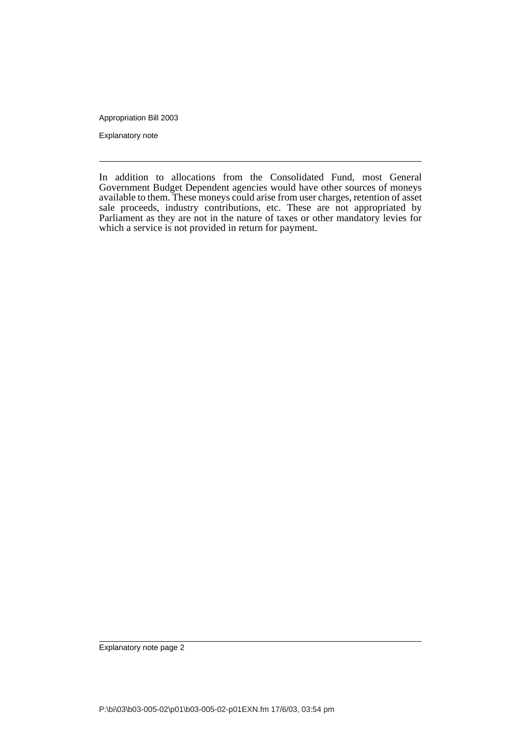Appropriation Bill 2003

Explanatory note

In addition to allocations from the Consolidated Fund, most General Government Budget Dependent agencies would have other sources of moneys available to them. These moneys could arise from user charges, retention of asset sale proceeds, industry contributions, etc. These are not appropriated by Parliament as they are not in the nature of taxes or other mandatory levies for which a service is not provided in return for payment.

Explanatory note page 2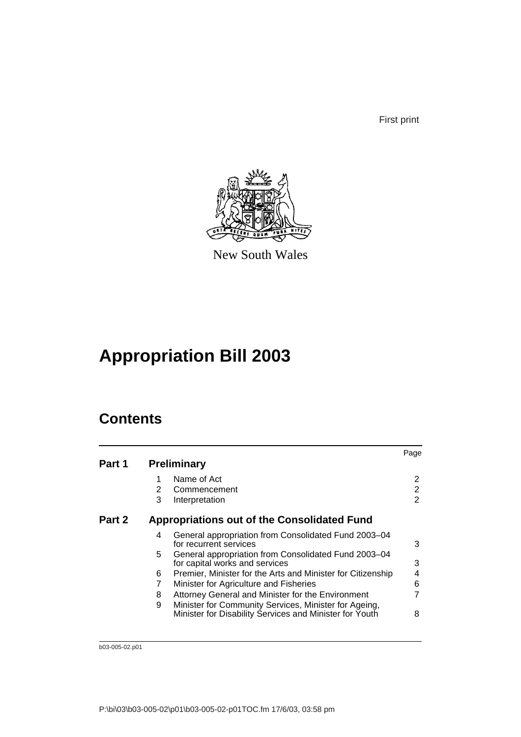First print



New South Wales

# **Appropriation Bill 2003**

## **Contents**

|        |    |                                                                                                                  | Page |
|--------|----|------------------------------------------------------------------------------------------------------------------|------|
| Part 1 |    | <b>Preliminary</b>                                                                                               |      |
|        |    | Name of Act                                                                                                      | 2    |
|        | 2  | Commencement                                                                                                     | 2    |
|        | 3  | Interpretation                                                                                                   | 2    |
| Part 2 |    | <b>Appropriations out of the Consolidated Fund</b>                                                               |      |
|        | 4  | General appropriation from Consolidated Fund 2003-04<br>for recurrent services                                   | 3    |
|        | 5. | General appropriation from Consolidated Fund 2003-04<br>for capital works and services                           | 3    |
|        | 6  | Premier, Minister for the Arts and Minister for Citizenship                                                      | 4    |
|        |    | Minister for Agriculture and Fisheries                                                                           | 6    |
|        | 8  | Attorney General and Minister for the Environment                                                                |      |
|        | 9  | Minister for Community Services, Minister for Ageing,<br>Minister for Disability Services and Minister for Youth | 8    |

b03-005-02.p01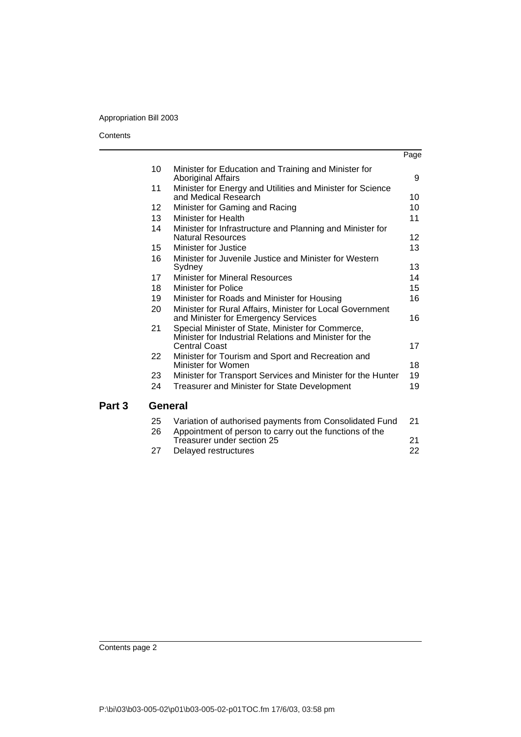## Appropriation Bill 2003

#### **Contents**

Part 3

|    |                                                                                                                                     | Page |
|----|-------------------------------------------------------------------------------------------------------------------------------------|------|
| 10 | Minister for Education and Training and Minister for<br><b>Aboriginal Affairs</b>                                                   | 9    |
| 11 | Minister for Energy and Utilities and Minister for Science<br>and Medical Research                                                  | 10   |
| 12 | Minister for Gaming and Racing                                                                                                      | 10   |
| 13 | Minister for Health                                                                                                                 | 11   |
| 14 | Minister for Infrastructure and Planning and Minister for<br><b>Natural Resources</b>                                               | 12   |
| 15 | Minister for Justice                                                                                                                | 13   |
| 16 | Minister for Juvenile Justice and Minister for Western<br>Sydney                                                                    | 13   |
| 17 | Minister for Mineral Resources                                                                                                      | 14   |
| 18 | <b>Minister for Police</b>                                                                                                          | 15   |
| 19 | Minister for Roads and Minister for Housing                                                                                         | 16   |
| 20 | Minister for Rural Affairs, Minister for Local Government<br>and Minister for Emergency Services                                    | 16   |
| 21 | Special Minister of State, Minister for Commerce,<br>Minister for Industrial Relations and Minister for the<br><b>Central Coast</b> | 17   |
| 22 | Minister for Tourism and Sport and Recreation and<br>Minister for Women                                                             | 18   |
| 23 | Minister for Transport Services and Minister for the Hunter                                                                         | 19   |
| 24 | Treasurer and Minister for State Development                                                                                        | 19   |
|    | <b>General</b>                                                                                                                      |      |
| 25 | Variation of authorised payments from Consolidated Fund                                                                             | 21   |
| 26 | Appointment of person to carry out the functions of the<br>Treasurer under section 25                                               | 21   |

[27 Delayed restructures 22](#page-25-0)

Contents page 2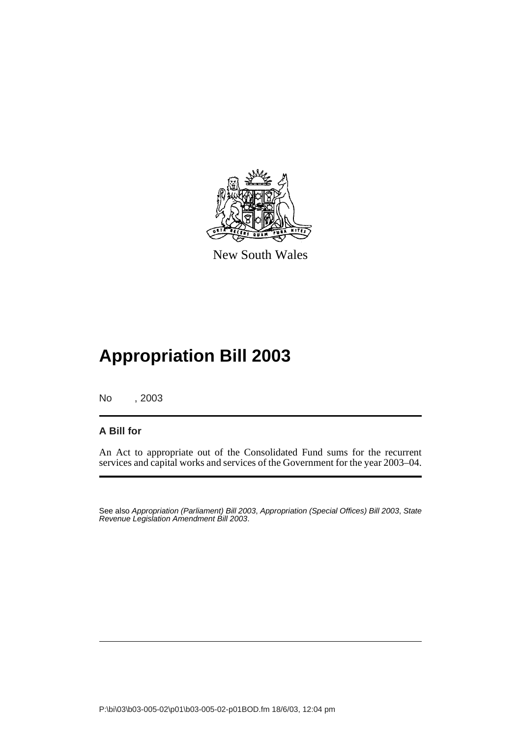

New South Wales

# **Appropriation Bill 2003**

No , 2003

### **A Bill for**

An Act to appropriate out of the Consolidated Fund sums for the recurrent services and capital works and services of the Government for the year 2003–04.

See also Appropriation (Parliament) Bill 2003, Appropriation (Special Offices) Bill 2003, State Revenue Legislation Amendment Bill 2003.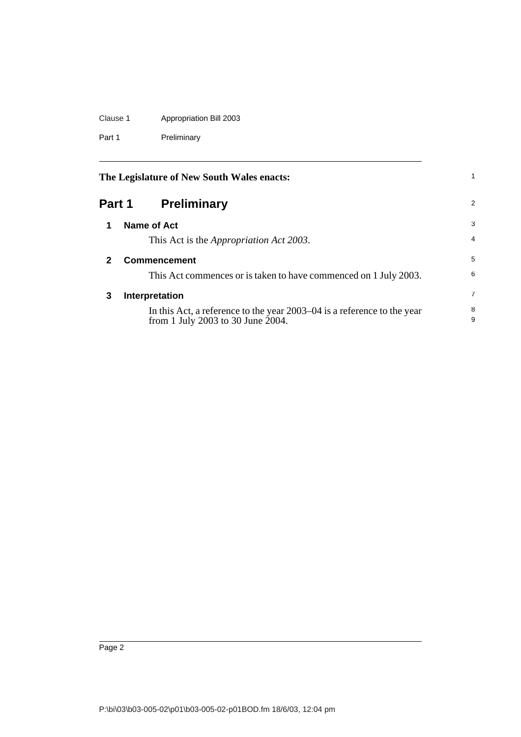## Clause 1 Appropriation Bill 2003

Part 1 Preliminary

<span id="page-5-3"></span><span id="page-5-2"></span><span id="page-5-1"></span><span id="page-5-0"></span>

|        | The Legislature of New South Wales enacts:                                                                   |                |
|--------|--------------------------------------------------------------------------------------------------------------|----------------|
| Part 1 | <b>Preliminary</b>                                                                                           | 2              |
| 1      | Name of Act                                                                                                  | 3              |
|        | This Act is the <i>Appropriation Act 2003</i> .                                                              | $\overline{4}$ |
| 2      | <b>Commencement</b>                                                                                          | 5              |
|        | This Act commences or is taken to have commenced on 1 July 2003.                                             | 6              |
| 3      | Interpretation                                                                                               | $\overline{7}$ |
|        | In this Act, a reference to the year 2003–04 is a reference to the year<br>from 1 July 2003 to 30 June 2004. | 8<br>9         |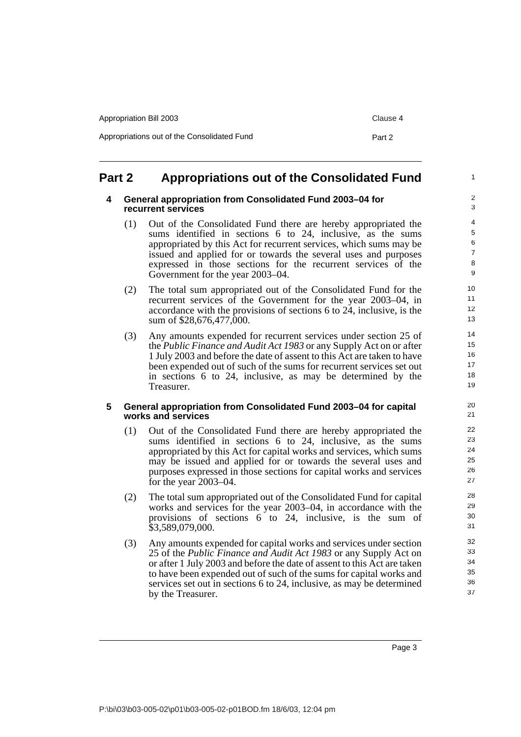## <span id="page-6-1"></span><span id="page-6-0"></span>**Part 2 Appropriations out of the Consolidated Fund**

#### **4 General appropriation from Consolidated Fund 2003–04 for recurrent services**

- (1) Out of the Consolidated Fund there are hereby appropriated the sums identified in sections 6 to 24, inclusive, as the sums appropriated by this Act for recurrent services, which sums may be issued and applied for or towards the several uses and purposes expressed in those sections for the recurrent services of the Government for the year 2003–04.
- (2) The total sum appropriated out of the Consolidated Fund for the recurrent services of the Government for the year 2003–04, in accordance with the provisions of sections 6 to 24, inclusive, is the sum of \$28,676,477,000.
- (3) Any amounts expended for recurrent services under section 25 of the *Public Finance and Audit Act 1983* or any Supply Act on or after 1 July 2003 and before the date of assent to this Act are taken to have been expended out of such of the sums for recurrent services set out in sections 6 to 24, inclusive, as may be determined by the Treasurer.

#### <span id="page-6-2"></span>**5 General appropriation from Consolidated Fund 2003–04 for capital works and services**

- (1) Out of the Consolidated Fund there are hereby appropriated the sums identified in sections 6 to 24, inclusive, as the sums appropriated by this Act for capital works and services, which sums may be issued and applied for or towards the several uses and purposes expressed in those sections for capital works and services for the year 2003–04.
- (2) The total sum appropriated out of the Consolidated Fund for capital works and services for the year 2003–04, in accordance with the provisions of sections 6 to 24, inclusive, is the sum of \$3,589,079,000.
- (3) Any amounts expended for capital works and services under section 25 of the *Public Finance and Audit Act 1983* or any Supply Act on or after 1 July 2003 and before the date of assent to this Act are taken to have been expended out of such of the sums for capital works and services set out in sections 6 to 24, inclusive, as may be determined by the Treasurer.

1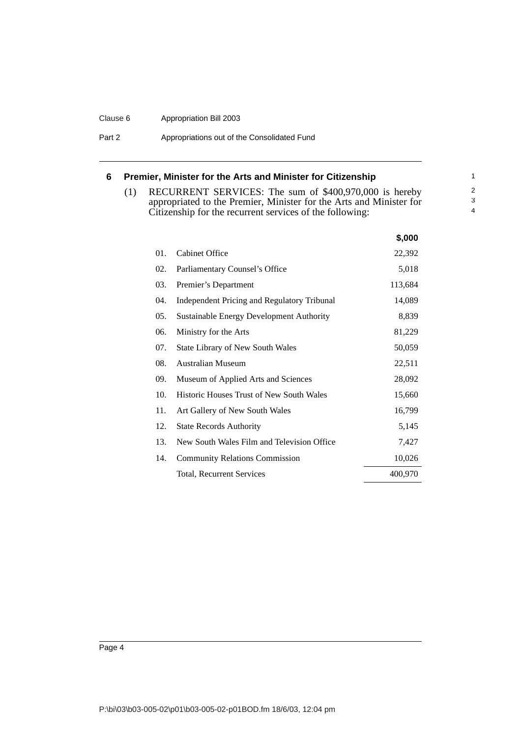#### Clause 6 Appropriation Bill 2003

Part 2 **Appropriations out of the Consolidated Fund** 

#### <span id="page-7-0"></span>**6 Premier, Minister for the Arts and Minister for Citizenship**

(1) RECURRENT SERVICES: The sum of \$400,970,000 is hereby appropriated to the Premier, Minister for the Arts and Minister for Citizenship for the recurrent services of the following:

|     |                                                    | \$,000  |
|-----|----------------------------------------------------|---------|
| 01. | <b>Cabinet Office</b>                              | 22,392  |
| 02. | Parliamentary Counsel's Office                     | 5,018   |
| 03. | Premier's Department                               | 113,684 |
| 04. | <b>Independent Pricing and Regulatory Tribunal</b> | 14,089  |
| 05. | Sustainable Energy Development Authority           | 8,839   |
| 06. | Ministry for the Arts                              | 81,229  |
| 07. | <b>State Library of New South Wales</b>            | 50,059  |
| 08. | <b>Australian Museum</b>                           | 22,511  |
| 09. | Museum of Applied Arts and Sciences                | 28,092  |
| 10. | Historic Houses Trust of New South Wales           | 15,660  |
| 11. | Art Gallery of New South Wales                     | 16,799  |
| 12. | <b>State Records Authority</b>                     | 5,145   |
| 13. | New South Wales Film and Television Office         | 7,427   |
| 14. | <b>Community Relations Commission</b>              | 10,026  |
|     | <b>Total, Recurrent Services</b>                   | 400,970 |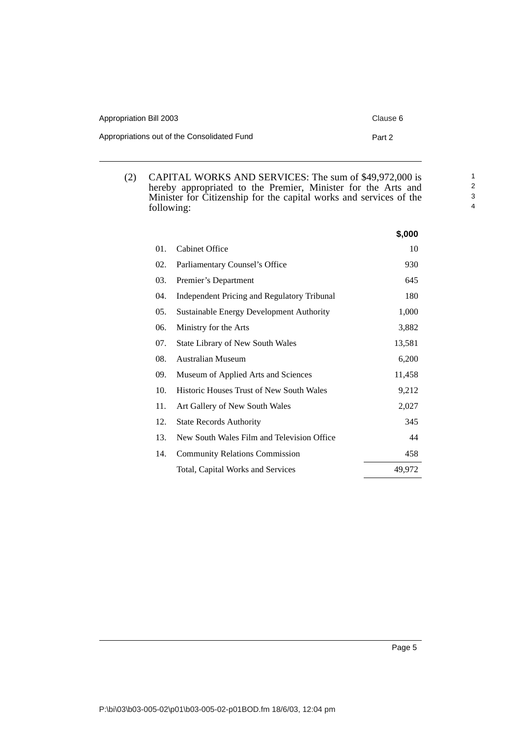| Appropriation Bill 2003                     | Clause 6 |
|---------------------------------------------|----------|
| Appropriations out of the Consolidated Fund | Part 2   |

(2) CAPITAL WORKS AND SERVICES: The sum of \$49,972,000 is hereby appropriated to the Premier, Minister for the Arts and Minister for Citizenship for the capital works and services of the following:

|     |                                                 | \$,000 |
|-----|-------------------------------------------------|--------|
| 01. | <b>Cabinet Office</b>                           | 10     |
| 02. | Parliamentary Counsel's Office                  | 930    |
| 03. | Premier's Department                            | 645    |
| 04. | Independent Pricing and Regulatory Tribunal     | 180    |
| 05. | Sustainable Energy Development Authority        | 1,000  |
| 06. | Ministry for the Arts                           | 3,882  |
| 07. | State Library of New South Wales                | 13,581 |
| 08. | Australian Museum                               | 6,200  |
| 09. | Museum of Applied Arts and Sciences             | 11,458 |
| 10. | <b>Historic Houses Trust of New South Wales</b> | 9,212  |
| 11. | Art Gallery of New South Wales                  | 2,027  |
| 12. | <b>State Records Authority</b>                  | 345    |
| 13. | New South Wales Film and Television Office      | 44     |
| 14. | <b>Community Relations Commission</b>           | 458    |
|     | Total, Capital Works and Services               | 49,972 |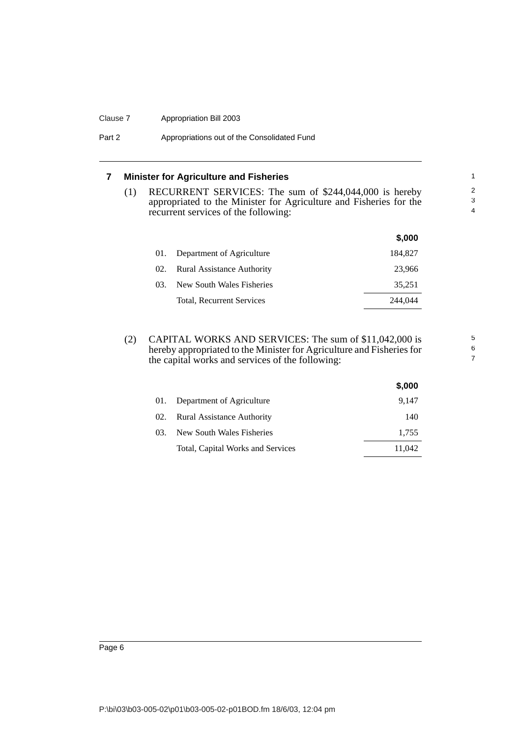#### Clause 7 Appropriation Bill 2003

#### Part 2 **Appropriations out of the Consolidated Fund**

#### <span id="page-9-0"></span>**7 Minister for Agriculture and Fisheries**

(1) RECURRENT SERVICES: The sum of \$244,044,000 is hereby appropriated to the Minister for Agriculture and Fisheries for the recurrent services of the following:

5 6 7

|     |                                   | \$,000  |
|-----|-----------------------------------|---------|
| 01. | Department of Agriculture         | 184,827 |
| 02. | <b>Rural Assistance Authority</b> | 23.966  |
| 03. | New South Wales Fisheries         | 35,251  |
|     | Total, Recurrent Services         | 244,044 |
|     |                                   |         |

(2) CAPITAL WORKS AND SERVICES: The sum of \$11,042,000 is hereby appropriated to the Minister for Agriculture and Fisheries for the capital works and services of the following:

|     |                                   | \$,000 |
|-----|-----------------------------------|--------|
| 01. | Department of Agriculture         | 9.147  |
| 02. | Rural Assistance Authority        | 140    |
| 03. | New South Wales Fisheries         | 1,755  |
|     | Total, Capital Works and Services | 11,042 |

Page 6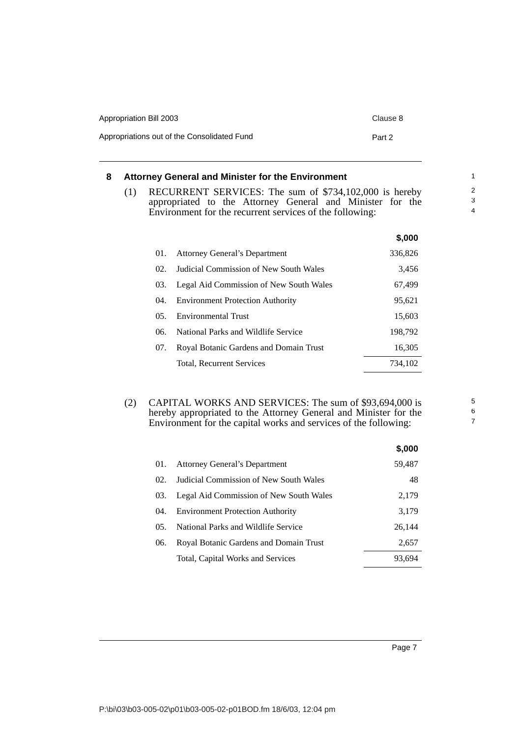| Appropriation Bill 2003                     | Clause 8 |
|---------------------------------------------|----------|
| Appropriations out of the Consolidated Fund | Part 2   |

#### <span id="page-10-0"></span>**8 Attorney General and Minister for the Environment**

(1) RECURRENT SERVICES: The sum of \$734,102,000 is hereby appropriated to the Attorney General and Minister for the Environment for the recurrent services of the following:

|       |                                         | \$,000  |
|-------|-----------------------------------------|---------|
| 01.   | <b>Attorney General's Department</b>    | 336,826 |
| 02.   | Judicial Commission of New South Wales  | 3,456   |
| 03.   | Legal Aid Commission of New South Wales | 67,499  |
| (1)4. | <b>Environment Protection Authority</b> | 95,621  |
| 05.   | <b>Environmental Trust</b>              | 15,603  |
| 06.   | National Parks and Wildlife Service     | 198,792 |
| 07.   | Royal Botanic Gardens and Domain Trust  | 16,305  |
|       | <b>Total. Recurrent Services</b>        | 734.102 |

(2) CAPITAL WORKS AND SERVICES: The sum of \$93,694,000 is hereby appropriated to the Attorney General and Minister for the Environment for the capital works and services of the following:

|     |                                         | \$,000 |
|-----|-----------------------------------------|--------|
| 01. | <b>Attorney General's Department</b>    | 59,487 |
| 02. | Judicial Commission of New South Wales  | 48     |
| 03. | Legal Aid Commission of New South Wales | 2,179  |
| 04. | <b>Environment Protection Authority</b> | 3,179  |
| 05. | National Parks and Wildlife Service     | 26,144 |
| 06. | Royal Botanic Gardens and Domain Trust  | 2,657  |
|     | Total, Capital Works and Services       | 93.694 |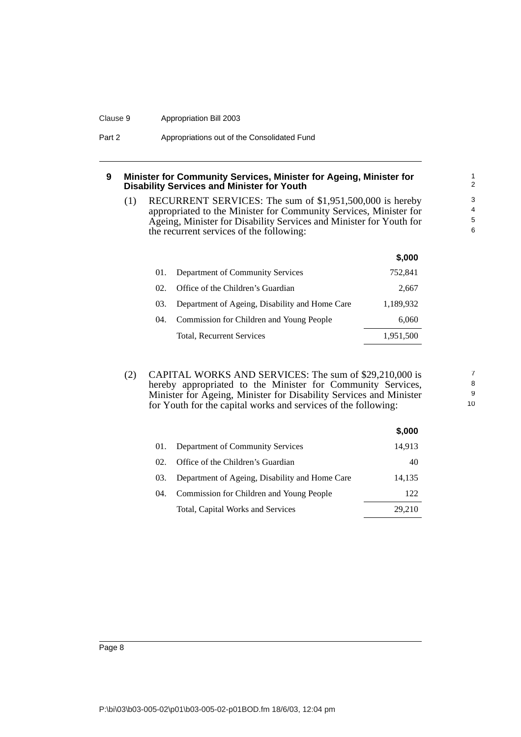#### Clause 9 Appropriation Bill 2003

| Part 2 | Appropriations out of the Consolidated Fund |
|--------|---------------------------------------------|
|--------|---------------------------------------------|

#### <span id="page-11-0"></span>**9 Minister for Community Services, Minister for Ageing, Minister for Disability Services and Minister for Youth**

(1) RECURRENT SERVICES: The sum of \$1,951,500,000 is hereby appropriated to the Minister for Community Services, Minister for Ageing, Minister for Disability Services and Minister for Youth for the recurrent services of the following:

|       |                                                | \$,000    |
|-------|------------------------------------------------|-----------|
| 01.   | Department of Community Services               | 752,841   |
| 02.   | Office of the Children's Guardian              | 2,667     |
| 03.   | Department of Ageing, Disability and Home Care | 1,189,932 |
| (1)4. | Commission for Children and Young People       | 6.060     |
|       | Total, Recurrent Services                      | 1,951,500 |

(2) CAPITAL WORKS AND SERVICES: The sum of \$29,210,000 is hereby appropriated to the Minister for Community Services, Minister for Ageing, Minister for Disability Services and Minister for Youth for the capital works and services of the following:

|     |                                                | \$,000 |
|-----|------------------------------------------------|--------|
| 01. | Department of Community Services               | 14,913 |
| 02. | Office of the Children's Guardian              | 40     |
| 03. | Department of Ageing, Disability and Home Care | 14,135 |
| 04. | Commission for Children and Young People       | 122    |
|     | Total, Capital Works and Services              | 29.210 |

Page 8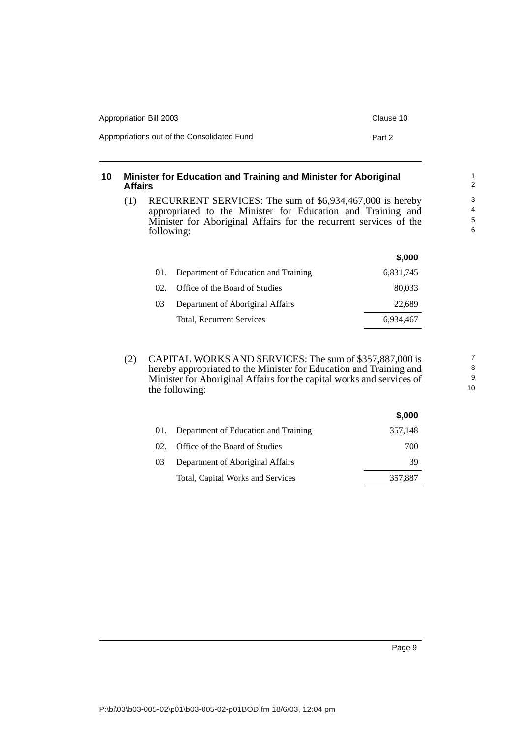| Appropriation Bill 2003                     | Clause 10 |
|---------------------------------------------|-----------|
| Appropriations out of the Consolidated Fund | Part 2    |

#### <span id="page-12-0"></span>**10 Minister for Education and Training and Minister for Aboriginal Affairs**

(1) RECURRENT SERVICES: The sum of \$6,934,467,000 is hereby appropriated to the Minister for Education and Training and Minister for Aboriginal Affairs for the recurrent services of the following:

|                 |                                      | \$,000    |
|-----------------|--------------------------------------|-----------|
| 01.             | Department of Education and Training | 6,831,745 |
| 02 <sub>1</sub> | Office of the Board of Studies       | 80,033    |
| 0 <sup>3</sup>  | Department of Aboriginal Affairs     | 22,689    |
|                 | Total, Recurrent Services            | 6.934.467 |
|                 |                                      |           |

(2) CAPITAL WORKS AND SERVICES: The sum of \$357,887,000 is hereby appropriated to the Minister for Education and Training and Minister for Aboriginal Affairs for the capital works and services of the following:

|                |                                      | \$,000  |
|----------------|--------------------------------------|---------|
| 01.            | Department of Education and Training | 357,148 |
| 02.            | Office of the Board of Studies       | 700     |
| 0 <sup>3</sup> | Department of Aboriginal Affairs     | 39      |
|                | Total, Capital Works and Services    | 357,887 |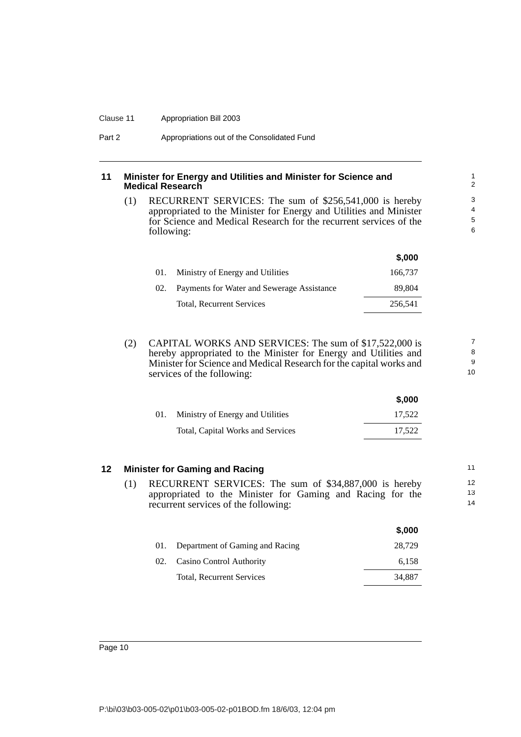#### Clause 11 Appropriation Bill 2003

#### <span id="page-13-0"></span>**11 Minister for Energy and Utilities and Minister for Science and Medical Research**

(1) RECURRENT SERVICES: The sum of \$256,541,000 is hereby appropriated to the Minister for Energy and Utilities and Minister for Science and Medical Research for the recurrent services of the following:

|     |                                            | J.UUU   |
|-----|--------------------------------------------|---------|
| 01. | Ministry of Energy and Utilities           | 166,737 |
| 02. | Payments for Water and Sewerage Assistance | 89.804  |
|     | <b>Total, Recurrent Services</b>           | 256.541 |

**\$,000**

**\$,000**

(2) CAPITAL WORKS AND SERVICES: The sum of \$17,522,000 is hereby appropriated to the Minister for Energy and Utilities and Minister for Science and Medical Research for the capital works and services of the following:

|     |                                   | J.UUU  |
|-----|-----------------------------------|--------|
| 01. | Ministry of Energy and Utilities  | 17.522 |
|     | Total, Capital Works and Services | 17.522 |

#### <span id="page-13-1"></span>**12 Minister for Gaming and Racing**

(1) RECURRENT SERVICES: The sum of \$34,887,000 is hereby appropriated to the Minister for Gaming and Racing for the recurrent services of the following:

|     |                                  | \$,000 |
|-----|----------------------------------|--------|
| 01. | Department of Gaming and Racing  | 28.729 |
| 02. | Casino Control Authority         | 6,158  |
|     | <b>Total, Recurrent Services</b> | 34.887 |
|     |                                  |        |

P:\bi\03\b03-005-02\p01\b03-005-02-p01BOD.fm 18/6/03, 12:04 pm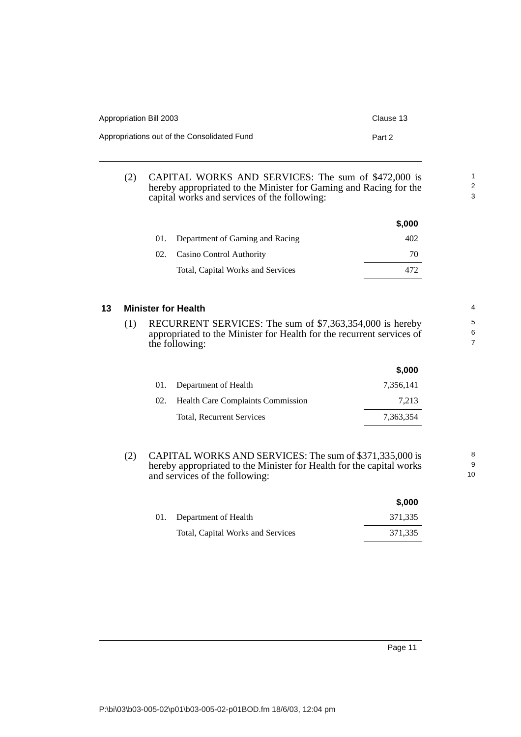| Appropriation Bill 2003                     | Clause 13 |
|---------------------------------------------|-----------|
| Appropriations out of the Consolidated Fund | Part 2    |

(2) CAPITAL WORKS AND SERVICES: The sum of \$472,000 is hereby appropriated to the Minister for Gaming and Racing for the capital works and services of the following:

|     |                                   | \$,000 |
|-----|-----------------------------------|--------|
|     | Department of Gaming and Racing   | 402.   |
| 02. | Casino Control Authority          | 70     |
|     | Total, Capital Works and Services | 472.   |

#### <span id="page-14-0"></span>**13 Minister for Health**

(1) RECURRENT SERVICES: The sum of \$7,363,354,000 is hereby appropriated to the Minister for Health for the recurrent services of the following:

|     |                                          | J,UUU     |
|-----|------------------------------------------|-----------|
|     | 01. Department of Health                 | 7.356.141 |
| 02. | <b>Health Care Complaints Commission</b> | 7.213     |
|     | <b>Total, Recurrent Services</b>         | 7.363.354 |

(2) CAPITAL WORKS AND SERVICES: The sum of \$371,335,000 is hereby appropriated to the Minister for Health for the capital works and services of the following:

|                                   | \$.000  |
|-----------------------------------|---------|
| 01. Department of Health          | 371.335 |
| Total, Capital Works and Services | 371.335 |

**\$,000**

1 2 3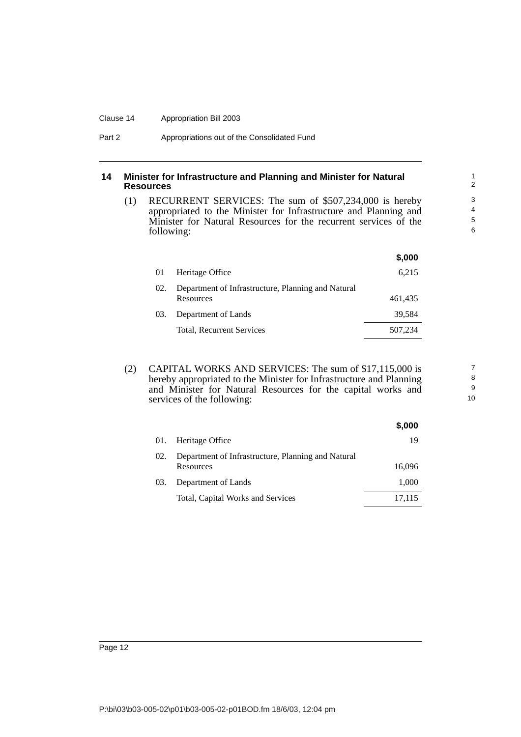#### Clause 14 Appropriation Bill 2003

#### <span id="page-15-0"></span>**14 Minister for Infrastructure and Planning and Minister for Natural Resources**

(1) RECURRENT SERVICES: The sum of \$507,234,000 is hereby appropriated to the Minister for Infrastructure and Planning and Minister for Natural Resources for the recurrent services of the following:

|     |                                                                 | \$,000  |
|-----|-----------------------------------------------------------------|---------|
| 01  | Heritage Office                                                 | 6.215   |
| 02. | Department of Infrastructure, Planning and Natural<br>Resources | 461,435 |
| 03. | Department of Lands                                             | 39.584  |
|     | Total, Recurrent Services                                       | 507,234 |
|     |                                                                 |         |

(2) CAPITAL WORKS AND SERVICES: The sum of \$17,115,000 is hereby appropriated to the Minister for Infrastructure and Planning and Minister for Natural Resources for the capital works and services of the following:

|     |                                                                 | \$,000 |
|-----|-----------------------------------------------------------------|--------|
| 01. | Heritage Office                                                 | 19     |
| 02. | Department of Infrastructure, Planning and Natural<br>Resources | 16,096 |
| 03. | Department of Lands                                             | 1,000  |
|     | Total, Capital Works and Services                               | 17.115 |

P:\bi\03\b03-005-02\p01\b03-005-02-p01BOD.fm 18/6/03, 12:04 pm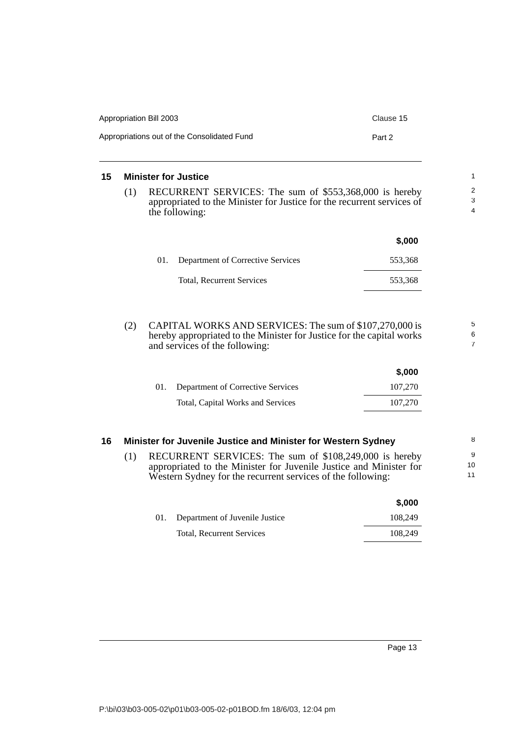| Appropriation Bill 2003                     | Clause 15 |
|---------------------------------------------|-----------|
| Appropriations out of the Consolidated Fund | Part 2    |

#### <span id="page-16-0"></span>**15 Minister for Justice**

(1) RECURRENT SERVICES: The sum of \$553,368,000 is hereby appropriated to the Minister for Justice for the recurrent services of the following:

|     |                                          | \$,000  |
|-----|------------------------------------------|---------|
| 01. | <b>Department of Corrective Services</b> | 553,368 |
|     | <b>Total, Recurrent Services</b>         | 553,368 |

(2) CAPITAL WORKS AND SERVICES: The sum of \$107,270,000 is hereby appropriated to the Minister for Justice for the capital works and services of the following:

|                                       | \$.000  |
|---------------------------------------|---------|
| 01. Department of Corrective Services | 107.270 |
| Total, Capital Works and Services     | 107.270 |

#### <span id="page-16-1"></span>**16 Minister for Juvenile Justice and Minister for Western Sydney** (1) RECURRENT SERVICES: The sum of \$108,249,000 is hereby appropriated to the Minister for Juvenile Justice and Minister for Western Sydney for the recurrent services of the following: 10 11

|                                    | \$,000  |
|------------------------------------|---------|
| 01. Department of Juvenile Justice | 108.249 |
| Total, Recurrent Services          | 108.249 |

**\$,000**

5 6 7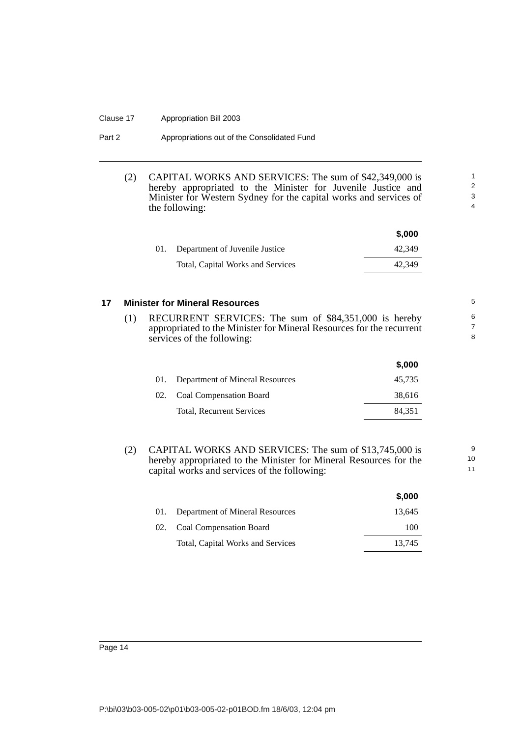#### Clause 17 Appropriation Bill 2003

| Part 2 | Appropriations out of the Consolidated Fund |
|--------|---------------------------------------------|
|--------|---------------------------------------------|

(2) CAPITAL WORKS AND SERVICES: The sum of \$42,349,000 is hereby appropriated to the Minister for Juvenile Justice and Minister for Western Sydney for the capital works and services of the following:

|     |                                   | \$.000 |
|-----|-----------------------------------|--------|
| 01. | Department of Juvenile Justice    | 42.349 |
|     | Total, Capital Works and Services | 42.349 |

9 10 11

#### <span id="page-17-0"></span>**17 Minister for Mineral Resources**

(1) RECURRENT SERVICES: The sum of \$84,351,000 is hereby appropriated to the Minister for Mineral Resources for the recurrent services of the following:

|     |                                  | \$,000 |
|-----|----------------------------------|--------|
| 01. | Department of Mineral Resources  | 45.735 |
|     | 02. Coal Compensation Board      | 38,616 |
|     | <b>Total, Recurrent Services</b> | 84.351 |
|     |                                  |        |

(2) CAPITAL WORKS AND SERVICES: The sum of \$13,745,000 is hereby appropriated to the Minister for Mineral Resources for the capital works and services of the following:

|     |                                   | \$,000 |
|-----|-----------------------------------|--------|
| 01. | Department of Mineral Resources   | 13.645 |
|     | 02. Coal Compensation Board       | 100    |
|     | Total, Capital Works and Services | 13.745 |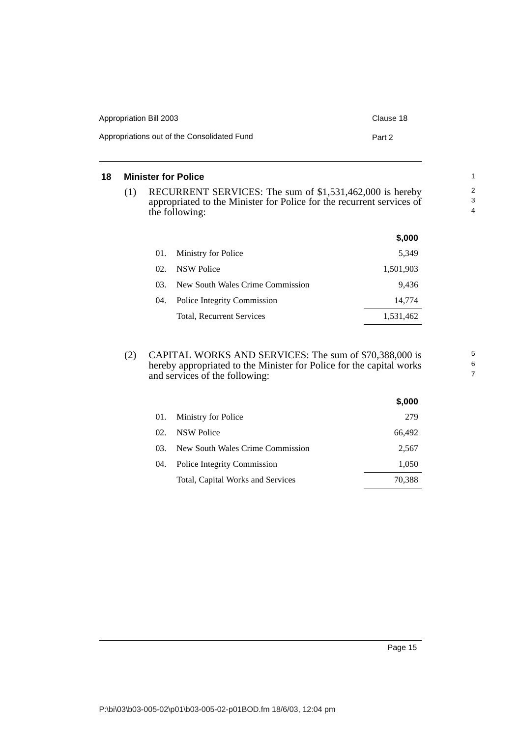| Appropriation Bill 2003                     | Clause 18 |
|---------------------------------------------|-----------|
| Appropriations out of the Consolidated Fund | Part 2    |

#### <span id="page-18-0"></span>**18 Minister for Police**

(1) RECURRENT SERVICES: The sum of \$1,531,462,000 is hereby appropriated to the Minister for Police for the recurrent services of the following:

|     |                                  | \$,000    |
|-----|----------------------------------|-----------|
| 01. | Ministry for Police              | 5.349     |
| 02. | <b>NSW Police</b>                | 1,501,903 |
| 03. | New South Wales Crime Commission | 9.436     |
| 04. | Police Integrity Commission      | 14.774    |
|     | Total, Recurrent Services        | 1,531,462 |

(2) CAPITAL WORKS AND SERVICES: The sum of \$70,388,000 is hereby appropriated to the Minister for Police for the capital works and services of the following:

|     |                                   | \$,000 |
|-----|-----------------------------------|--------|
| 01. | Ministry for Police               | 279    |
| 02. | NSW Police                        | 66,492 |
| 03. | New South Wales Crime Commission  | 2,567  |
| 04. | Police Integrity Commission       | 1,050  |
|     | Total, Capital Works and Services | 70,388 |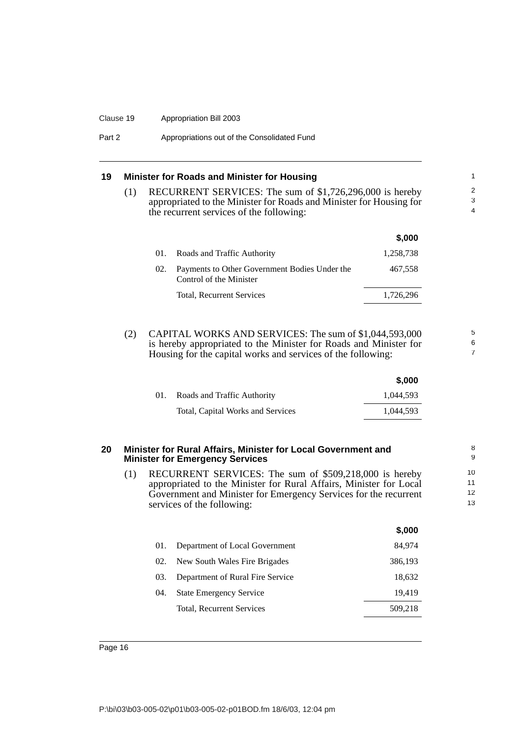#### Clause 19 Appropriation Bill 2003

Part 2 **Appropriations out of the Consolidated Fund** 

#### <span id="page-19-0"></span>**19 Minister for Roads and Minister for Housing**

(1) RECURRENT SERVICES: The sum of \$1,726,296,000 is hereby appropriated to the Minister for Roads and Minister for Housing for the recurrent services of the following:

|     |                                                                          | \$.000    |
|-----|--------------------------------------------------------------------------|-----------|
| 01. | Roads and Traffic Authority                                              | 1.258.738 |
| 02. | Payments to Other Government Bodies Under the<br>Control of the Minister | 467.558   |
|     | <b>Total, Recurrent Services</b>                                         | 1,726,296 |

5 6 7

(2) CAPITAL WORKS AND SERVICES: The sum of \$1,044,593,000 is hereby appropriated to the Minister for Roads and Minister for Housing for the capital works and services of the following:

|     |                                   | \$,000    |
|-----|-----------------------------------|-----------|
| 01. | Roads and Traffic Authority       | 1.044.593 |
|     | Total, Capital Works and Services | 1.044.593 |
|     |                                   |           |

#### <span id="page-19-1"></span>**20 Minister for Rural Affairs, Minister for Local Government and Minister for Emergency Services**

(1) RECURRENT SERVICES: The sum of \$509,218,000 is hereby appropriated to the Minister for Rural Affairs, Minister for Local Government and Minister for Emergency Services for the recurrent services of the following:

|     |                                  | \$,000  |
|-----|----------------------------------|---------|
| 01. | Department of Local Government   | 84.974  |
| 02. | New South Wales Fire Brigades    | 386,193 |
| 03. | Department of Rural Fire Service | 18,632  |
| 04. | <b>State Emergency Service</b>   | 19,419  |
|     | Total, Recurrent Services        | 509,218 |
|     |                                  |         |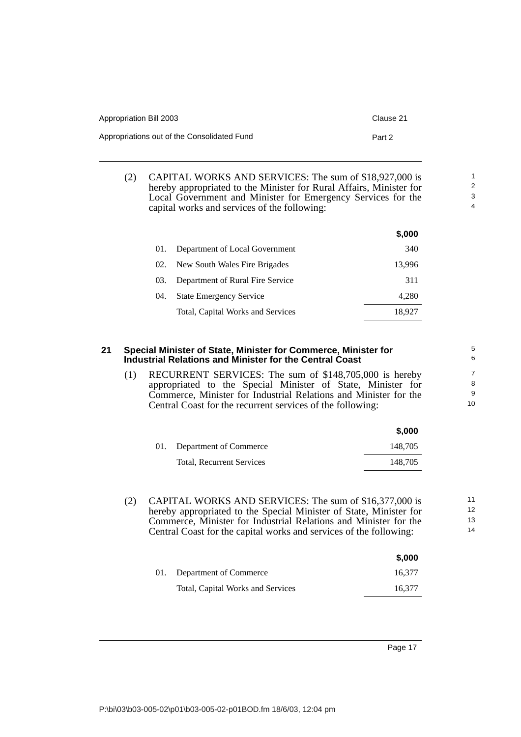| Appropriation Bill 2003                     | Clause 21 |
|---------------------------------------------|-----------|
| Appropriations out of the Consolidated Fund | Part 2    |

(2) CAPITAL WORKS AND SERVICES: The sum of \$18,927,000 is hereby appropriated to the Minister for Rural Affairs, Minister for Local Government and Minister for Emergency Services for the capital works and services of the following:

|     |                                   | \$,000 |
|-----|-----------------------------------|--------|
| 01. | Department of Local Government    | 340    |
| 02. | New South Wales Fire Brigades     | 13,996 |
| 03. | Department of Rural Fire Service  | 311    |
| 04. | <b>State Emergency Service</b>    | 4,280  |
|     | Total, Capital Works and Services | 18.927 |

#### <span id="page-20-0"></span>**21 Special Minister of State, Minister for Commerce, Minister for Industrial Relations and Minister for the Central Coast**

(1) RECURRENT SERVICES: The sum of \$148,705,000 is hereby appropriated to the Special Minister of State, Minister for Commerce, Minister for Industrial Relations and Minister for the Central Coast for the recurrent services of the following:

|                            | \$.000  |
|----------------------------|---------|
| 01. Department of Commerce | 148.705 |
| Total, Recurrent Services  | 148.705 |

(2) CAPITAL WORKS AND SERVICES: The sum of \$16,377,000 is hereby appropriated to the Special Minister of State, Minister for Commerce, Minister for Industrial Relations and Minister for the Central Coast for the capital works and services of the following:

|     |                                   | \$,000 |
|-----|-----------------------------------|--------|
| 01. | Department of Commerce            | 16.377 |
|     | Total, Capital Works and Services | 16.377 |

Page 17

| P:\bi\03\b03-005-02\p01\b03-005-02-p01BOD.fm 18/6/03, 12:04 pm |  |  |
|----------------------------------------------------------------|--|--|
|                                                                |  |  |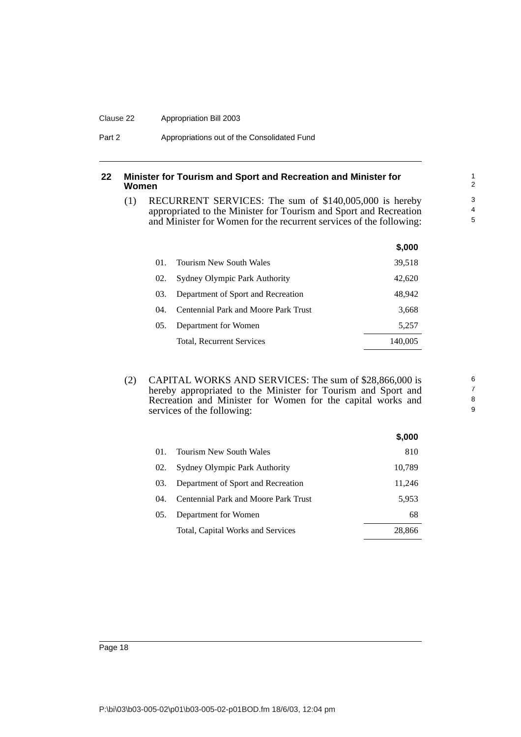#### Clause 22 Appropriation Bill 2003

#### <span id="page-21-0"></span>**22 Minister for Tourism and Sport and Recreation and Minister for Women**

(1) RECURRENT SERVICES: The sum of \$140,005,000 is hereby appropriated to the Minister for Tourism and Sport and Recreation and Minister for Women for the recurrent services of the following:

|      |                                             | DUU.    |
|------|---------------------------------------------|---------|
| 01.  | <b>Tourism New South Wales</b>              | 39,518  |
| 02.  | <b>Sydney Olympic Park Authority</b>        | 42,620  |
| 03.  | Department of Sport and Recreation          | 48.942  |
| (14) | <b>Centennial Park and Moore Park Trust</b> | 3,668   |
| 05.  | Department for Women                        | 5.257   |
|      | Total, Recurrent Services                   | 140,005 |
|      |                                             |         |

(2) CAPITAL WORKS AND SERVICES: The sum of \$28,866,000 is hereby appropriated to the Minister for Tourism and Sport and Recreation and Minister for Women for the capital works and services of the following:

|     |                                      | \$,000 |
|-----|--------------------------------------|--------|
| 01. | <b>Tourism New South Wales</b>       | 810    |
| 02. | Sydney Olympic Park Authority        | 10,789 |
| 03. | Department of Sport and Recreation   | 11,246 |
| 04. | Centennial Park and Moore Park Trust | 5,953  |
| 05. | Department for Women                 | 68     |
|     | Total, Capital Works and Services    | 28,866 |
|     |                                      |        |

**\$,000**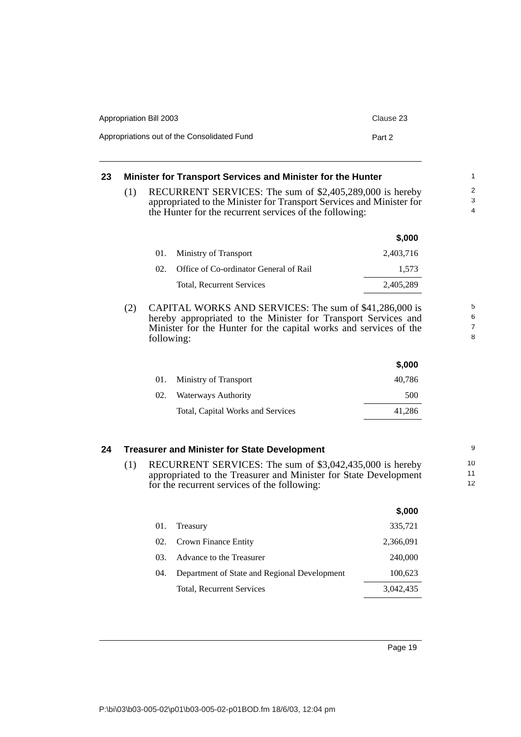| Appropriation Bill 2003                     | Clause 23 |
|---------------------------------------------|-----------|
| Appropriations out of the Consolidated Fund | Part 2    |

### <span id="page-22-0"></span>**23 Minister for Transport Services and Minister for the Hunter**

(1) RECURRENT SERVICES: The sum of \$2,405,289,000 is hereby appropriated to the Minister for Transport Services and Minister for the Hunter for the recurrent services of the following:

|     |                                        | \$,000    |
|-----|----------------------------------------|-----------|
| 01. | Ministry of Transport                  | 2,403,716 |
| 02. | Office of Co-ordinator General of Rail | 1.573     |
|     | <b>Total, Recurrent Services</b>       | 2.405.289 |

(2) CAPITAL WORKS AND SERVICES: The sum of \$41,286,000 is hereby appropriated to the Minister for Transport Services and Minister for the Hunter for the capital works and services of the following:

|     |                                   | \$,000 |
|-----|-----------------------------------|--------|
| 01. | Ministry of Transport             | 40,786 |
| 02. | Waterways Authority               | 500    |
|     | Total, Capital Works and Services | 41.286 |

#### <span id="page-22-1"></span>**24 Treasurer and Minister for State Development**

(1) RECURRENT SERVICES: The sum of \$3,042,435,000 is hereby appropriated to the Treasurer and Minister for State Development for the recurrent services of the following:

|       |                                              | \$,000    |
|-------|----------------------------------------------|-----------|
| 01.   | Treasury                                     | 335,721   |
| 02.   | Crown Finance Entity                         | 2,366,091 |
| 03.   | Advance to the Treasurer                     | 240,000   |
| (1)4. | Department of State and Regional Development | 100,623   |
|       | Total, Recurrent Services                    | 3.042.435 |

Page 19

7 8

5 6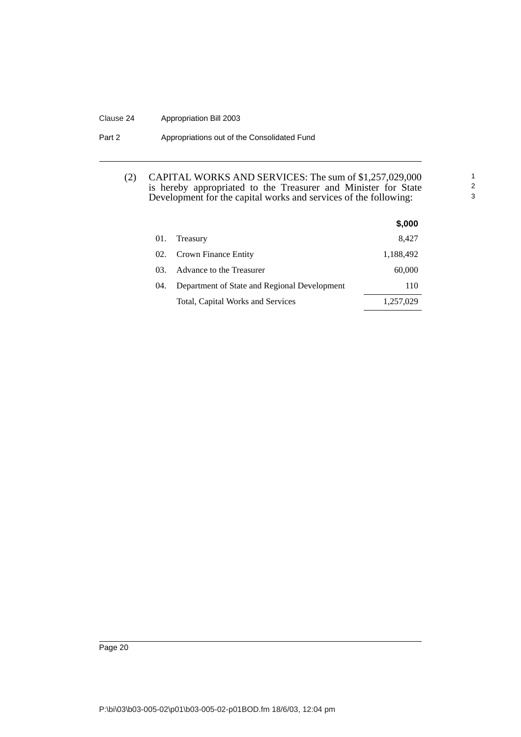#### Clause 24 Appropriation Bill 2003

#### Part 2 **Appropriations out of the Consolidated Fund**

#### (2) CAPITAL WORKS AND SERVICES: The sum of \$1,257,029,000 is hereby appropriated to the Treasurer and Minister for State Development for the capital works and services of the following:

1 2 3

|     |                                              | \$,000    |  |
|-----|----------------------------------------------|-----------|--|
| 01. | Treasury                                     | 8,427     |  |
| 02. | Crown Finance Entity                         | 1,188,492 |  |
| 03. | Advance to the Treasurer                     | 60,000    |  |
| 04. | Department of State and Regional Development | 110       |  |
|     | Total, Capital Works and Services            | 1,257,029 |  |

Page 20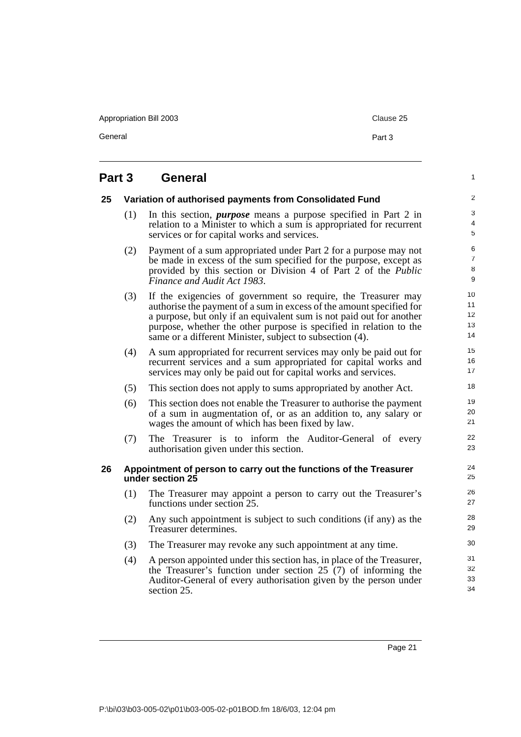Appropriation Bill 2003 Clause 25

General **Part 3** 

1

## <span id="page-24-0"></span>**Part 3 General**

<span id="page-24-2"></span><span id="page-24-1"></span>

| 25 |     | Variation of authorised payments from Consolidated Fund                                                                                                                                                                                                                                                                                         | $\overline{\mathbf{c}}$    |
|----|-----|-------------------------------------------------------------------------------------------------------------------------------------------------------------------------------------------------------------------------------------------------------------------------------------------------------------------------------------------------|----------------------------|
|    | (1) | In this section, <i>purpose</i> means a purpose specified in Part 2 in<br>relation to a Minister to which a sum is appropriated for recurrent<br>services or for capital works and services.                                                                                                                                                    | 3<br>4<br>5                |
|    | (2) | Payment of a sum appropriated under Part 2 for a purpose may not<br>be made in excess of the sum specified for the purpose, except as<br>provided by this section or Division 4 of Part $2$ of the <i>Public</i><br>Finance and Audit Act 1983.                                                                                                 | 6<br>7<br>8<br>9           |
|    | (3) | If the exigencies of government so require, the Treasurer may<br>authorise the payment of a sum in excess of the amount specified for<br>a purpose, but only if an equivalent sum is not paid out for another<br>purpose, whether the other purpose is specified in relation to the<br>same or a different Minister, subject to subsection (4). | 10<br>11<br>12<br>13<br>14 |
|    | (4) | A sum appropriated for recurrent services may only be paid out for<br>recurrent services and a sum appropriated for capital works and<br>services may only be paid out for capital works and services.                                                                                                                                          | 15<br>16<br>17             |
|    | (5) | This section does not apply to sums appropriated by another Act.                                                                                                                                                                                                                                                                                | 18                         |
|    | (6) | This section does not enable the Treasurer to authorise the payment<br>of a sum in augmentation of, or as an addition to, any salary or<br>wages the amount of which has been fixed by law.                                                                                                                                                     | 19<br>20<br>21             |
|    | (7) | The Treasurer is to inform the Auditor-General of every<br>authorisation given under this section.                                                                                                                                                                                                                                              | 22<br>23                   |
| 26 |     | Appointment of person to carry out the functions of the Treasurer<br>under section 25                                                                                                                                                                                                                                                           | 24<br>25                   |
|    | (1) | The Treasurer may appoint a person to carry out the Treasurer's<br>functions under section 25.                                                                                                                                                                                                                                                  | 26<br>27                   |
|    | (2) | Any such appointment is subject to such conditions (if any) as the<br>Treasurer determines.                                                                                                                                                                                                                                                     | 28<br>29                   |
|    | (3) | The Treasurer may revoke any such appointment at any time.                                                                                                                                                                                                                                                                                      | 30                         |
|    | (4) | A person appointed under this section has, in place of the Treasurer,<br>the Treasurer's function under section 25 (7) of informing the<br>Auditor-General of every authorisation given by the person under<br>section 25.                                                                                                                      | 31<br>32<br>33<br>34       |

Page 21